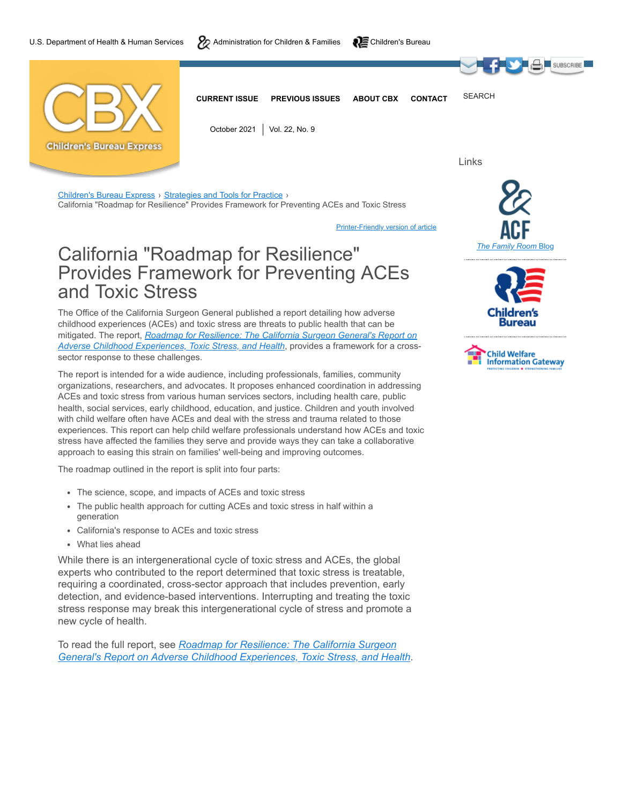



[Children's Bureau Express](https://cbexpress.acf.hhs.gov/index.cfm?issueId=230) > [Strategies and Tools for Practice](https://cbexpress.acf.hhs.gov/index.cfm?event=website.viewSection&issueID=230§ionID=17) > California "Roadmap for Resilience" Provides Framework for Preventing ACEs and Toxic Stress

**[Printer-Friendly version of article](https://cbexpress.acf.hhs.gov/index.cfm?event=website.viewPrinterFriendlyArticle&articleID=5893)** 

## California "Roadmap for Resilience" Provides Framework for Preventing ACEs and Toxic Stress

The Office of the California Surgeon General published a report detailing how adverse childhood experiences (ACEs) and toxic stress are threats to public health that can be mitigated. The report, *[Roadmap for Resilience: The California Surgeon General's Report on](https://osg.ca.gov/sg-report/) Adverse Childhood Experiences, Toxic Stress, and Health*, provides a framework for a crosssector response to these challenges.

The report is intended for a wide audience, including professionals, families, community organizations, researchers, and advocates. It proposes enhanced coordination in addressing ACEs and toxic stress from various human services sectors, including health care, public health, social services, early childhood, education, and justice. Children and youth involved with child welfare often have ACEs and deal with the stress and trauma related to those experiences. This report can help child welfare professionals understand how ACEs and toxic stress have affected the families they serve and provide ways they can take a collaborative approach to easing this strain on families' well-being and improving outcomes.

The roadmap outlined in the report is split into four parts:

- The science, scope, and impacts of ACEs and toxic stress
- The public health approach for cutting ACEs and toxic stress in half within a generation
- California's response to ACEs and toxic stress
- What lies ahead

While there is an intergenerational cycle of toxic stress and ACEs, the global experts who contributed to the report determined that toxic stress is treatable, requiring a coordinated, cross-sector approach that includes prevention, early detection, and evidence-based interventions. Interrupting and treating the toxic stress response may break this intergenerational cycle of stress and promote a new cycle of health.

To read the full report, see *Roadmap for Resilience: The California Surgeon [General's Report on Adverse Childhood Experiences, Toxic Stress, and Health](https://osg.ca.gov/sg-report/)*.